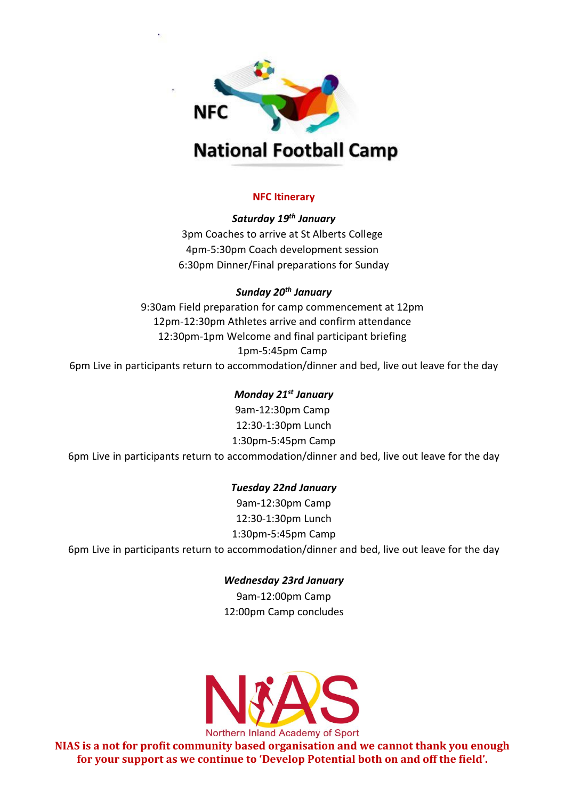

## **NFC Itinerary**

*Saturday 19th January* 3pm Coaches to arrive at St Alberts College 4pm-5:30pm Coach development session 6:30pm Dinner/Final preparations for Sunday

## *Sunday 20th January*

9:30am Field preparation for camp commencement at 12pm 12pm-12:30pm Athletes arrive and confirm attendance 12:30pm-1pm Welcome and final participant briefing 1pm-5:45pm Camp 6pm Live in participants return to accommodation/dinner and bed, live out leave for the day

*Monday 21st January* 9am-12:30pm Camp 12:30-1:30pm Lunch 1:30pm-5:45pm Camp 6pm Live in participants return to accommodation/dinner and bed, live out leave for the day

*Tuesday 22nd January*  9am-12:30pm Camp 12:30-1:30pm Lunch 1:30pm-5:45pm Camp 6pm Live in participants return to accommodation/dinner and bed, live out leave for the day

> *Wednesday 23rd January*  9am-12:00pm Camp 12:00pm Camp concludes



**NIAS is a not for profit community based organisation and we cannot thank you enough for your support as we continue to 'Develop Potential both on and off the field'.**